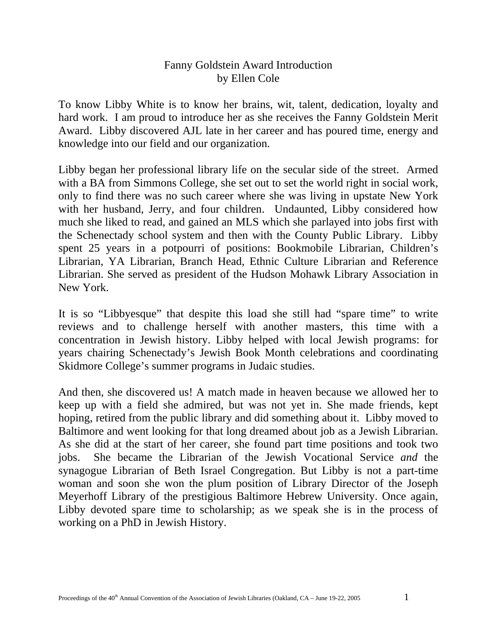## Fanny Goldstein Award Introduction by Ellen Cole

To know Libby White is to know her brains, wit, talent, dedication, loyalty and hard work. I am proud to introduce her as she receives the Fanny Goldstein Merit Award. Libby discovered AJL late in her career and has poured time, energy and knowledge into our field and our organization.

Libby began her professional library life on the secular side of the street. Armed with a BA from Simmons College, she set out to set the world right in social work, only to find there was no such career where she was living in upstate New York with her husband, Jerry, and four children. Undaunted, Libby considered how much she liked to read, and gained an MLS which she parlayed into jobs first with the Schenectady school system and then with the County Public Library. Libby spent 25 years in a potpourri of positions: Bookmobile Librarian, Children's Librarian, YA Librarian, Branch Head, Ethnic Culture Librarian and Reference Librarian. She served as president of the Hudson Mohawk Library Association in New York.

It is so "Libbyesque" that despite this load she still had "spare time" to write reviews and to challenge herself with another masters, this time with a concentration in Jewish history. Libby helped with local Jewish programs: for years chairing Schenectady's Jewish Book Month celebrations and coordinating Skidmore College's summer programs in Judaic studies.

And then, she discovered us! A match made in heaven because we allowed her to keep up with a field she admired, but was not yet in. She made friends, kept hoping, retired from the public library and did something about it. Libby moved to Baltimore and went looking for that long dreamed about job as a Jewish Librarian. As she did at the start of her career, she found part time positions and took two jobs. She became the Librarian of the Jewish Vocational Service *and* the synagogue Librarian of Beth Israel Congregation. But Libby is not a part-time woman and soon she won the plum position of Library Director of the Joseph Meyerhoff Library of the prestigious Baltimore Hebrew University. Once again, Libby devoted spare time to scholarship; as we speak she is in the process of working on a PhD in Jewish History.